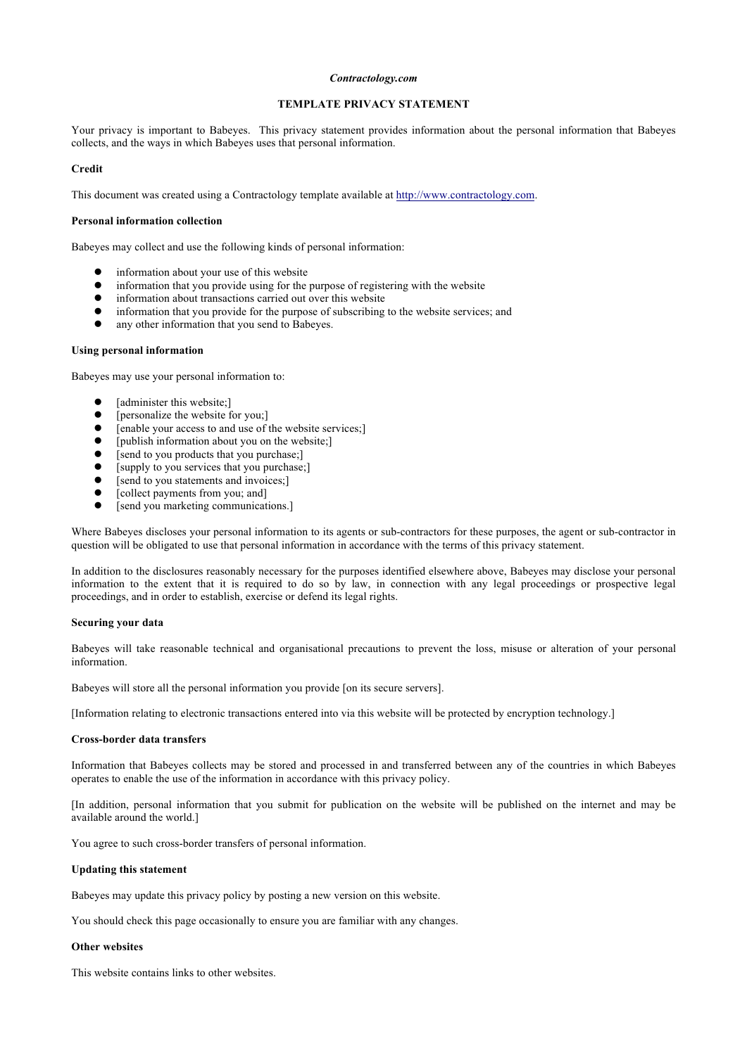## *Contractology.com*

# **TEMPLATE PRIVACY STATEMENT**

Your privacy is important to Babeyes. This privacy statement provides information about the personal information that Babeyes collects, and the ways in which Babeyes uses that personal information.

#### **Credit**

This document was created using a Contractology template available at http://www.contractology.com.

#### **Personal information collection**

Babeyes may collect and use the following kinds of personal information:

- information about your use of this website
- information that you provide using for the purpose of registering with the website
- information about transactions carried out over this website<br>• information that you provide for the purpose of subscribing
- information that you provide for the purpose of subscribing to the website services; and
- any other information that you send to Babeyes.

# **Using personal information**

Babeyes may use your personal information to:

- [administer this website;]
- $\bullet$  [personalize the website for you;]
- $\bullet$  [enable your access to and use of the website services;]
- $\bullet$  [publish information about you on the website;]
- [send to you products that you purchase;]
- [supply to you services that you purchase;]<br> **•** [send to you statements and invoices]
- [send to you statements and invoices;]
- $\bullet$  [collect payments from you; and]
- [send you marketing communications.]

Where Babeyes discloses your personal information to its agents or sub-contractors for these purposes, the agent or sub-contractor in question will be obligated to use that personal information in accordance with the terms of this privacy statement.

In addition to the disclosures reasonably necessary for the purposes identified elsewhere above, Babeyes may disclose your personal information to the extent that it is required to do so by law, in connection with any legal proceedings or prospective legal proceedings, and in order to establish, exercise or defend its legal rights.

#### **Securing your data**

Babeyes will take reasonable technical and organisational precautions to prevent the loss, misuse or alteration of your personal information.

Babeyes will store all the personal information you provide [on its secure servers].

[Information relating to electronic transactions entered into via this website will be protected by encryption technology.]

#### **Cross-border data transfers**

Information that Babeyes collects may be stored and processed in and transferred between any of the countries in which Babeyes operates to enable the use of the information in accordance with this privacy policy.

[In addition, personal information that you submit for publication on the website will be published on the internet and may be available around the world.]

You agree to such cross-border transfers of personal information.

## **Updating this statement**

Babeyes may update this privacy policy by posting a new version on this website.

You should check this page occasionally to ensure you are familiar with any changes.

### **Other websites**

This website contains links to other websites.